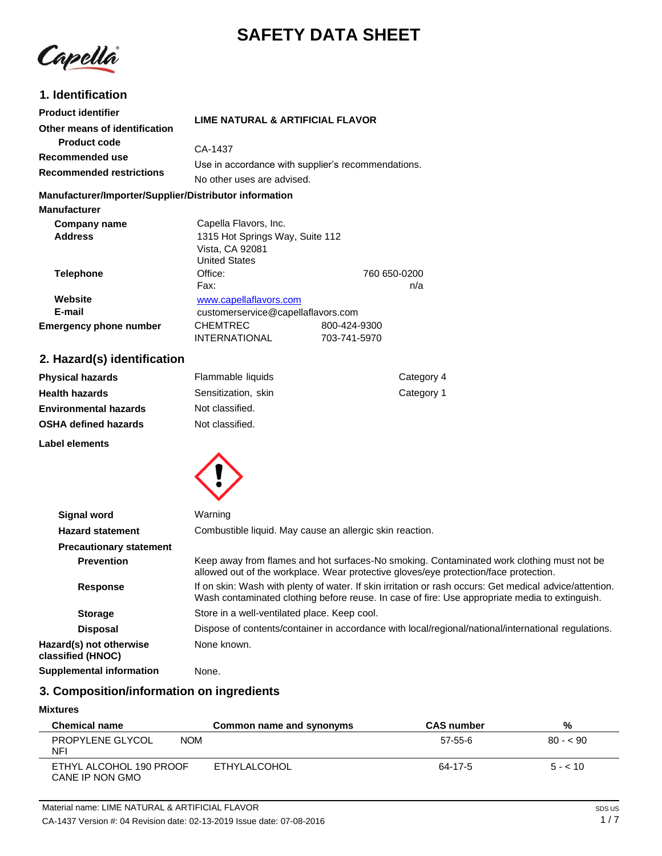# **SAFETY DATA SHEET**

Capella

# **1. Identification**

| <b>Product identifier</b><br>Other means of identification         | LIME NATURAL & ARTIFICIAL FLAVOR                                                                    |                     |
|--------------------------------------------------------------------|-----------------------------------------------------------------------------------------------------|---------------------|
| Product code<br>Recommended use<br><b>Recommended restrictions</b> | CA-1437<br>Use in accordance with supplier's recommendations.<br>No other uses are advised.         |                     |
| Manufacturer/Importer/Supplier/Distributor information             |                                                                                                     |                     |
| <b>Manufacturer</b>                                                |                                                                                                     |                     |
| Company name<br><b>Address</b>                                     | Capella Flavors, Inc.<br>1315 Hot Springs Way, Suite 112<br>Vista, CA 92081<br><b>United States</b> |                     |
| <b>Telephone</b>                                                   | Office:<br>Fax:                                                                                     | 760 650-0200<br>n/a |
| Website<br>E-mail                                                  | www.capellaflavors.com<br>customerservice@capellaflavors.com                                        |                     |

# **2. Hazard(s) identification**

| <b>Physical hazards</b>      | Flammable liquids   | Category 4 |
|------------------------------|---------------------|------------|
| <b>Health hazards</b>        | Sensitization, skin | Category 1 |
| <b>Environmental hazards</b> | Not classified.     |            |
| <b>OSHA defined hazards</b>  | Not classified.     |            |
| Label elements               |                     |            |



**Emergency phone number** CHEMTREC 800-424-9300<br>1NTERNATIONAL 703-741-5970

**INTERNATIONAL** 

| <b>Signal word</b>                           | Warning                                                                                                                                                                                                   |
|----------------------------------------------|-----------------------------------------------------------------------------------------------------------------------------------------------------------------------------------------------------------|
| <b>Hazard statement</b>                      | Combustible liquid. May cause an allergic skin reaction.                                                                                                                                                  |
| <b>Precautionary statement</b>               |                                                                                                                                                                                                           |
| <b>Prevention</b>                            | Keep away from flames and hot surfaces-No smoking. Contaminated work clothing must not be<br>allowed out of the workplace. Wear protective gloves/eye protection/face protection.                         |
| <b>Response</b>                              | If on skin: Wash with plenty of water. If skin irritation or rash occurs: Get medical advice/attention.<br>Wash contaminated clothing before reuse. In case of fire: Use appropriate media to extinguish. |
| <b>Storage</b>                               | Store in a well-ventilated place. Keep cool.                                                                                                                                                              |
| <b>Disposal</b>                              | Dispose of contents/container in accordance with local/regional/national/international regulations.                                                                                                       |
| Hazard(s) not otherwise<br>classified (HNOC) | None known.                                                                                                                                                                                               |
| <b>Supplemental information</b>              | None.                                                                                                                                                                                                     |
|                                              |                                                                                                                                                                                                           |

# **3. Composition/information on ingredients**

#### **Mixtures**

| <b>Chemical name</b>                       | Common name and synonyms | <b>CAS number</b> | %         |
|--------------------------------------------|--------------------------|-------------------|-----------|
| <b>NOM</b><br>PROPYLENE GLYCOL<br>NFI      |                          | 57-55-6           | $80 - 50$ |
| ETHYL ALCOHOL 190 PROOF<br>CANE IP NON GMO | ETHYLALCOHOL             | 64-17-5           | $5 - 10$  |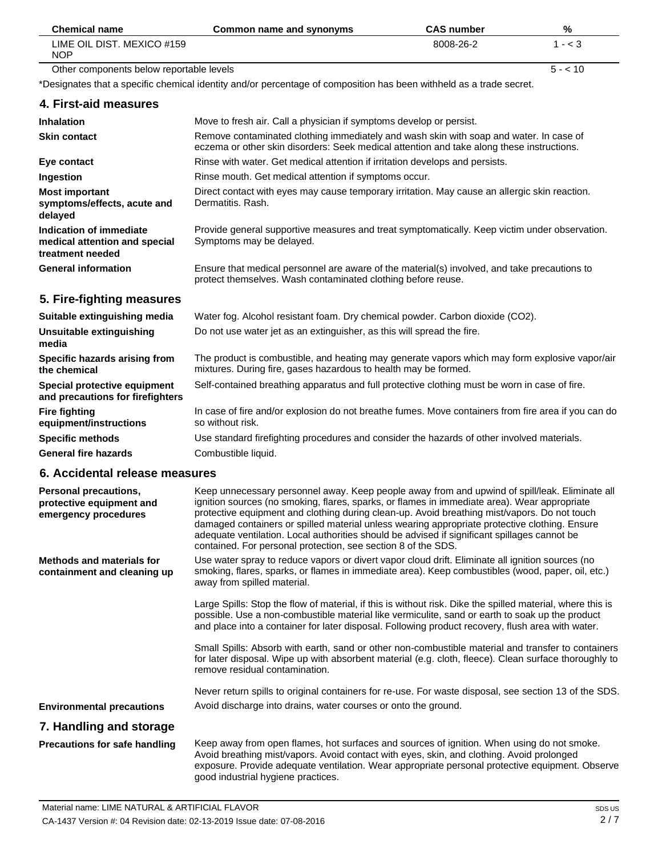| <b>Chemical name</b>                     | Common name and synonyms                                                                                            | <b>CAS</b> number | %         |
|------------------------------------------|---------------------------------------------------------------------------------------------------------------------|-------------------|-----------|
| LIME OIL DIST. MEXICO #159<br><b>NOP</b> |                                                                                                                     | 8008-26-2         | $1 - < 3$ |
| Other components below reportable levels |                                                                                                                     |                   | $5 - 10$  |
|                                          | *Designates that a specific chemical identity and/or percentage of composition has been withheld as a trade secret. |                   |           |
| 4. First-aid measures                    |                                                                                                                     |                   |           |

| <b>Inhalation</b>                                                            | Move to fresh air. Call a physician if symptoms develop or persist.                                                                                                                 |
|------------------------------------------------------------------------------|-------------------------------------------------------------------------------------------------------------------------------------------------------------------------------------|
| <b>Skin contact</b>                                                          | Remove contaminated clothing immediately and wash skin with soap and water. In case of<br>eczema or other skin disorders: Seek medical attention and take along these instructions. |
| Eye contact                                                                  | Rinse with water. Get medical attention if irritation develops and persists.                                                                                                        |
| Ingestion                                                                    | Rinse mouth. Get medical attention if symptoms occur.                                                                                                                               |
| <b>Most important</b><br>symptoms/effects, acute and<br>delayed              | Direct contact with eyes may cause temporary irritation. May cause an allergic skin reaction.<br>Dermatitis, Rash.                                                                  |
| Indication of immediate<br>medical attention and special<br>treatment needed | Provide general supportive measures and treat symptomatically. Keep victim under observation.<br>Symptoms may be delayed.                                                           |
| <b>General information</b>                                                   | Ensure that medical personnel are aware of the material(s) involved, and take precautions to<br>protect themselves. Wash contaminated clothing before reuse.                        |

# **5. Fire-fighting measures**

| Suitable extinguishing media                                     | Water fog. Alcohol resistant foam. Dry chemical powder. Carbon dioxide (CO2).                                                                                     |
|------------------------------------------------------------------|-------------------------------------------------------------------------------------------------------------------------------------------------------------------|
| Unsuitable extinguishing<br>media                                | Do not use water jet as an extinguisher, as this will spread the fire.                                                                                            |
| Specific hazards arising from<br>the chemical                    | The product is combustible, and heating may generate vapors which may form explosive vapor/air<br>mixtures. During fire, gases hazardous to health may be formed. |
| Special protective equipment<br>and precautions for firefighters | Self-contained breathing apparatus and full protective clothing must be worn in case of fire.                                                                     |
| <b>Fire fighting</b><br>equipment/instructions                   | In case of fire and/or explosion do not breathe fumes. Move containers from fire area if you can do<br>so without risk.                                           |
| <b>Specific methods</b>                                          | Use standard firefighting procedures and consider the hazards of other involved materials.                                                                        |
| <b>General fire hazards</b>                                      | Combustible liquid.                                                                                                                                               |

# **6. Accidental release measures**

| Personal precautions,<br>protective equipment and<br>emergency procedures | Keep unnecessary personnel away. Keep people away from and upwind of spill/leak. Eliminate all<br>ignition sources (no smoking, flares, sparks, or flames in immediate area). Wear appropriate<br>protective equipment and clothing during clean-up. Avoid breathing mist/vapors. Do not touch<br>damaged containers or spilled material unless wearing appropriate protective clothing. Ensure<br>adequate ventilation. Local authorities should be advised if significant spillages cannot be<br>contained. For personal protection, see section 8 of the SDS. |
|---------------------------------------------------------------------------|------------------------------------------------------------------------------------------------------------------------------------------------------------------------------------------------------------------------------------------------------------------------------------------------------------------------------------------------------------------------------------------------------------------------------------------------------------------------------------------------------------------------------------------------------------------|
| <b>Methods and materials for</b><br>containment and cleaning up           | Use water spray to reduce vapors or divert vapor cloud drift. Eliminate all ignition sources (no<br>smoking, flares, sparks, or flames in immediate area). Keep combustibles (wood, paper, oil, etc.)<br>away from spilled material.                                                                                                                                                                                                                                                                                                                             |
|                                                                           | Large Spills: Stop the flow of material, if this is without risk. Dike the spilled material, where this is<br>possible. Use a non-combustible material like vermiculite, sand or earth to soak up the product<br>and place into a container for later disposal. Following product recovery, flush area with water.                                                                                                                                                                                                                                               |
|                                                                           | Small Spills: Absorb with earth, sand or other non-combustible material and transfer to containers<br>for later disposal. Wipe up with absorbent material (e.g. cloth, fleece). Clean surface thoroughly to<br>remove residual contamination.                                                                                                                                                                                                                                                                                                                    |
|                                                                           | Never return spills to original containers for re-use. For waste disposal, see section 13 of the SDS.                                                                                                                                                                                                                                                                                                                                                                                                                                                            |
| <b>Environmental precautions</b>                                          | Avoid discharge into drains, water courses or onto the ground.                                                                                                                                                                                                                                                                                                                                                                                                                                                                                                   |
| 7. Handling and storage                                                   |                                                                                                                                                                                                                                                                                                                                                                                                                                                                                                                                                                  |
| Precautions for safe handling                                             | Keep away from open flames, hot surfaces and sources of ignition. When using do not smoke.<br>Avoid breathing mist/vapors. Avoid contact with eyes, skin, and clothing. Avoid prolonged<br>exposure. Provide adequate ventilation. Wear appropriate personal protective equipment. Observe                                                                                                                                                                                                                                                                       |

good industrial hygiene practices.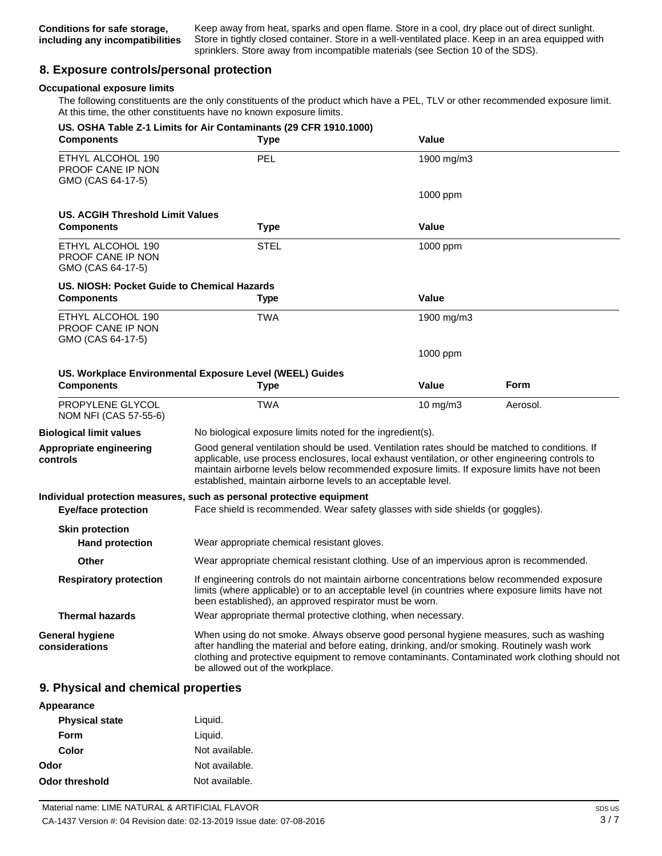Keep away from heat, sparks and open flame. Store in a cool, dry place out of direct sunlight. Store in tightly closed container. Store in a well-ventilated place. Keep in an area equipped with sprinklers. Store away from incompatible materials (see Section 10 of the SDS).

# **8. Exposure controls/personal protection**

### **Occupational exposure limits**

The following constituents are the only constituents of the product which have a PEL, TLV or other recommended exposure limit. At this time, the other constituents have no known exposure limits.

| <b>Components</b>                                                  | US. OSHA Table Z-1 Limits for Air Contaminants (29 CFR 1910.1000)<br>Type                                                                                                                                                                                                                                                                                          | Value                                                                                                                                                                                                                                                     |             |
|--------------------------------------------------------------------|--------------------------------------------------------------------------------------------------------------------------------------------------------------------------------------------------------------------------------------------------------------------------------------------------------------------------------------------------------------------|-----------------------------------------------------------------------------------------------------------------------------------------------------------------------------------------------------------------------------------------------------------|-------------|
| ETHYL ALCOHOL 190<br><b>PROOF CANE IP NON</b><br>GMO (CAS 64-17-5) | <b>PEL</b>                                                                                                                                                                                                                                                                                                                                                         | 1900 mg/m3                                                                                                                                                                                                                                                |             |
|                                                                    |                                                                                                                                                                                                                                                                                                                                                                    | 1000 ppm                                                                                                                                                                                                                                                  |             |
| US. ACGIH Threshold Limit Values                                   |                                                                                                                                                                                                                                                                                                                                                                    |                                                                                                                                                                                                                                                           |             |
| <b>Components</b>                                                  | <b>Type</b>                                                                                                                                                                                                                                                                                                                                                        | <b>Value</b>                                                                                                                                                                                                                                              |             |
| ETHYL ALCOHOL 190<br><b>PROOF CANE IP NON</b><br>GMO (CAS 64-17-5) | <b>STEL</b>                                                                                                                                                                                                                                                                                                                                                        | 1000 ppm                                                                                                                                                                                                                                                  |             |
| US. NIOSH: Pocket Guide to Chemical Hazards                        |                                                                                                                                                                                                                                                                                                                                                                    |                                                                                                                                                                                                                                                           |             |
| <b>Components</b>                                                  | Type                                                                                                                                                                                                                                                                                                                                                               | <b>Value</b>                                                                                                                                                                                                                                              |             |
| ETHYL ALCOHOL 190<br>PROOF CANE IP NON<br>GMO (CAS 64-17-5)        | <b>TWA</b>                                                                                                                                                                                                                                                                                                                                                         | 1900 mg/m3                                                                                                                                                                                                                                                |             |
|                                                                    |                                                                                                                                                                                                                                                                                                                                                                    | 1000 ppm                                                                                                                                                                                                                                                  |             |
|                                                                    | US. Workplace Environmental Exposure Level (WEEL) Guides                                                                                                                                                                                                                                                                                                           |                                                                                                                                                                                                                                                           |             |
| <b>Components</b>                                                  | <b>Type</b>                                                                                                                                                                                                                                                                                                                                                        | <b>Value</b>                                                                                                                                                                                                                                              | <b>Form</b> |
| PROPYLENE GLYCOL<br>NOM NFI (CAS 57-55-6)                          | <b>TWA</b>                                                                                                                                                                                                                                                                                                                                                         | $10 \text{ mg/m}$                                                                                                                                                                                                                                         | Aerosol.    |
| <b>Biological limit values</b>                                     | No biological exposure limits noted for the ingredient(s).                                                                                                                                                                                                                                                                                                         |                                                                                                                                                                                                                                                           |             |
| Appropriate engineering<br>controls                                | Good general ventilation should be used. Ventilation rates should be matched to conditions. If<br>applicable, use process enclosures, local exhaust ventilation, or other engineering controls to<br>maintain airborne levels below recommended exposure limits. If exposure limits have not been<br>established, maintain airborne levels to an acceptable level. |                                                                                                                                                                                                                                                           |             |
|                                                                    | Individual protection measures, such as personal protective equipment                                                                                                                                                                                                                                                                                              |                                                                                                                                                                                                                                                           |             |
| <b>Eye/face protection</b>                                         | Face shield is recommended. Wear safety glasses with side shields (or goggles).                                                                                                                                                                                                                                                                                    |                                                                                                                                                                                                                                                           |             |
| <b>Skin protection</b><br><b>Hand protection</b>                   | Wear appropriate chemical resistant gloves.                                                                                                                                                                                                                                                                                                                        |                                                                                                                                                                                                                                                           |             |
| Other                                                              | Wear appropriate chemical resistant clothing. Use of an impervious apron is recommended.                                                                                                                                                                                                                                                                           |                                                                                                                                                                                                                                                           |             |
| <b>Respiratory protection</b>                                      |                                                                                                                                                                                                                                                                                                                                                                    | If engineering controls do not maintain airborne concentrations below recommended exposure<br>limits (where applicable) or to an acceptable level (in countries where exposure limits have not<br>been established), an approved respirator must be worn. |             |
| <b>Thermal hazards</b>                                             | Wear appropriate thermal protective clothing, when necessary.                                                                                                                                                                                                                                                                                                      |                                                                                                                                                                                                                                                           |             |
| <b>General hygiene</b><br>considerations                           | When using do not smoke. Always observe good personal hygiene measures, such as washing<br>after handling the material and before eating, drinking, and/or smoking. Routinely wash work<br>clothing and protective equipment to remove contaminants. Contaminated work clothing should not<br>be allowed out of the workplace.                                     |                                                                                                                                                                                                                                                           |             |
|                                                                    |                                                                                                                                                                                                                                                                                                                                                                    |                                                                                                                                                                                                                                                           |             |

### **9. Physical and chemical properties**

| Appearance            |                |
|-----------------------|----------------|
| <b>Physical state</b> | Liquid.        |
| Form                  | Liquid.        |
| Color                 | Not available. |
| Odor                  | Not available. |
| Odor threshold        | Not available. |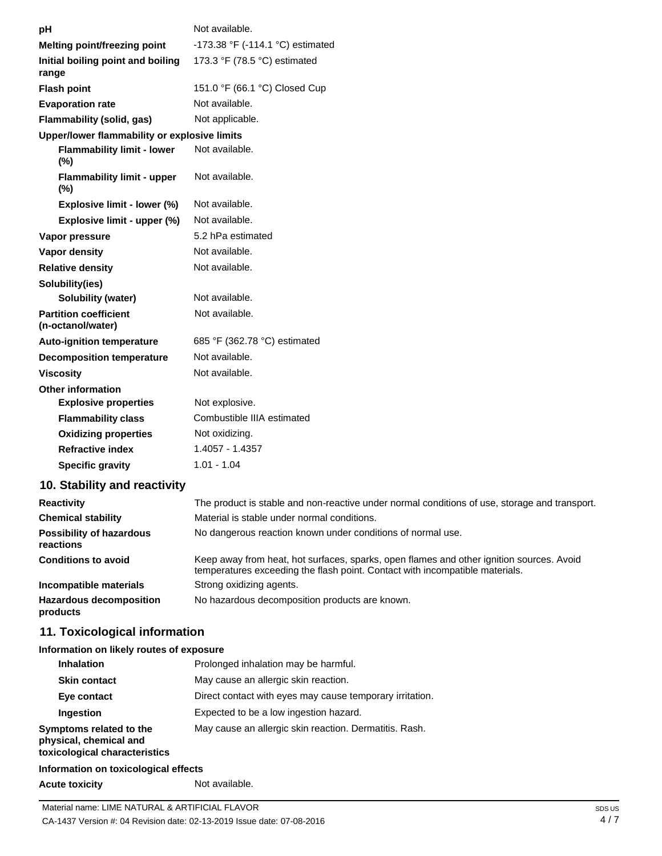| рH                                                | Not available.                                                                                                                                                           |
|---------------------------------------------------|--------------------------------------------------------------------------------------------------------------------------------------------------------------------------|
| Melting point/freezing point                      | -173.38 °F (-114.1 °C) estimated                                                                                                                                         |
| Initial boiling point and boiling<br>range        | 173.3 °F (78.5 °C) estimated                                                                                                                                             |
| <b>Flash point</b>                                | 151.0 °F (66.1 °C) Closed Cup                                                                                                                                            |
| <b>Evaporation rate</b>                           | Not available.                                                                                                                                                           |
| Flammability (solid, gas)                         | Not applicable.                                                                                                                                                          |
| Upper/lower flammability or explosive limits      |                                                                                                                                                                          |
| <b>Flammability limit - lower</b><br>(%)          | Not available.                                                                                                                                                           |
| <b>Flammability limit - upper</b><br>$(\%)$       | Not available.                                                                                                                                                           |
| Explosive limit - lower (%)                       | Not available.                                                                                                                                                           |
| Explosive limit - upper (%)                       | Not available.                                                                                                                                                           |
| Vapor pressure                                    | 5.2 hPa estimated                                                                                                                                                        |
| <b>Vapor density</b>                              | Not available.                                                                                                                                                           |
| <b>Relative density</b>                           | Not available.                                                                                                                                                           |
| Solubility(ies)                                   |                                                                                                                                                                          |
| <b>Solubility (water)</b>                         | Not available.                                                                                                                                                           |
| <b>Partition coefficient</b><br>(n-octanol/water) | Not available.                                                                                                                                                           |
| Auto-ignition temperature                         | 685 °F (362.78 °C) estimated                                                                                                                                             |
| <b>Decomposition temperature</b>                  | Not available.                                                                                                                                                           |
| <b>Viscosity</b>                                  | Not available.                                                                                                                                                           |
| <b>Other information</b>                          |                                                                                                                                                                          |
| <b>Explosive properties</b>                       | Not explosive.                                                                                                                                                           |
| <b>Flammability class</b>                         | Combustible IIIA estimated                                                                                                                                               |
| <b>Oxidizing properties</b>                       | Not oxidizing.                                                                                                                                                           |
| <b>Refractive index</b>                           | 1.4057 - 1.4357                                                                                                                                                          |
| <b>Specific gravity</b>                           | $1.01 - 1.04$                                                                                                                                                            |
| 10. Stability and reactivity                      |                                                                                                                                                                          |
| <b>Reactivity</b>                                 | The product is stable and non-reactive under normal conditions of use, storage and transport.                                                                            |
| <b>Chemical stability</b>                         | Material is stable under normal conditions.                                                                                                                              |
| <b>Possibility of hazardous</b><br>reactions      | No dangerous reaction known under conditions of normal use.                                                                                                              |
| <b>Conditions to avoid</b>                        | Keep away from heat, hot surfaces, sparks, open flames and other ignition sources. Avoid<br>temperatures exceeding the flash point. Contact with incompatible materials. |
| Incompatible materials                            | Strong oxidizing agents.                                                                                                                                                 |
| <b>Hazardous decomposition</b><br>products        | No hazardous decomposition products are known.                                                                                                                           |

# **11. Toxicological information**

### **Information on likely routes of exposure**

| <b>Inhalation</b>                                                                  | Prolonged inhalation may be harmful.                     |
|------------------------------------------------------------------------------------|----------------------------------------------------------|
| <b>Skin contact</b>                                                                | May cause an allergic skin reaction.                     |
| Eye contact                                                                        | Direct contact with eyes may cause temporary irritation. |
| Ingestion                                                                          | Expected to be a low ingestion hazard.                   |
| Symptoms related to the<br>physical, chemical and<br>toxicological characteristics | May cause an allergic skin reaction. Dermatitis. Rash.   |

# **Information on toxicological effects**

**Acute toxicity** Not available.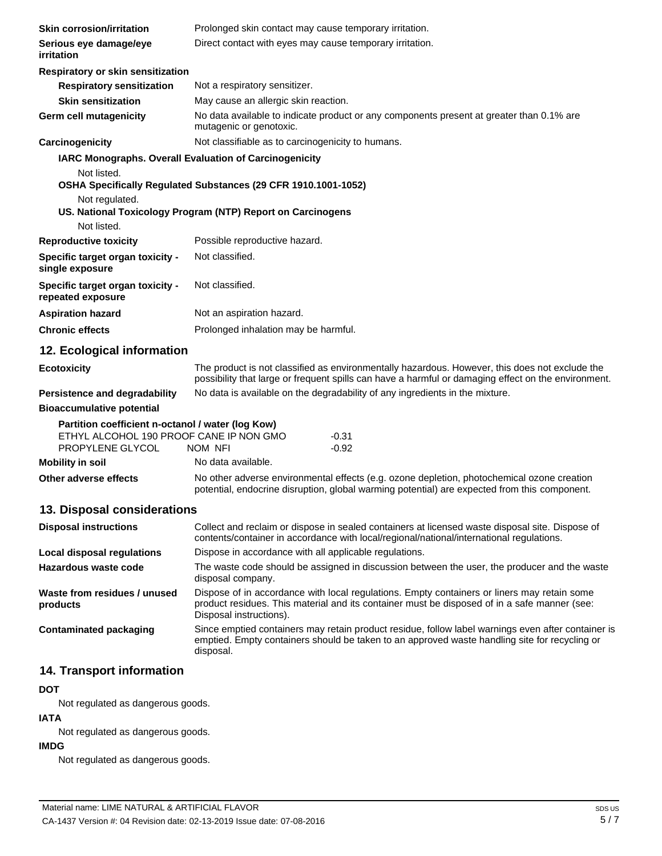| <b>Skin corrosion/irritation</b>                                                                                 | Prolonged skin contact may cause temporary irritation.                                                                                                                                                |  |  |
|------------------------------------------------------------------------------------------------------------------|-------------------------------------------------------------------------------------------------------------------------------------------------------------------------------------------------------|--|--|
| Serious eye damage/eye<br><i>irritation</i>                                                                      | Direct contact with eyes may cause temporary irritation.                                                                                                                                              |  |  |
| Respiratory or skin sensitization                                                                                |                                                                                                                                                                                                       |  |  |
| <b>Respiratory sensitization</b>                                                                                 | Not a respiratory sensitizer.                                                                                                                                                                         |  |  |
| <b>Skin sensitization</b>                                                                                        | May cause an allergic skin reaction.                                                                                                                                                                  |  |  |
| Germ cell mutagenicity                                                                                           | No data available to indicate product or any components present at greater than 0.1% are<br>mutagenic or genotoxic.                                                                                   |  |  |
| Carcinogenicity                                                                                                  | Not classifiable as to carcinogenicity to humans.                                                                                                                                                     |  |  |
| IARC Monographs. Overall Evaluation of Carcinogenicity<br>Not listed.<br>Not regulated.<br>Not listed.           | OSHA Specifically Regulated Substances (29 CFR 1910.1001-1052)<br>US. National Toxicology Program (NTP) Report on Carcinogens                                                                         |  |  |
| <b>Reproductive toxicity</b>                                                                                     | Possible reproductive hazard.                                                                                                                                                                         |  |  |
| Specific target organ toxicity -<br>single exposure                                                              | Not classified.                                                                                                                                                                                       |  |  |
| Specific target organ toxicity -<br>repeated exposure                                                            | Not classified.                                                                                                                                                                                       |  |  |
| <b>Aspiration hazard</b>                                                                                         | Not an aspiration hazard.                                                                                                                                                                             |  |  |
| <b>Chronic effects</b>                                                                                           | Prolonged inhalation may be harmful.                                                                                                                                                                  |  |  |
| 12. Ecological information                                                                                       |                                                                                                                                                                                                       |  |  |
| <b>Ecotoxicity</b>                                                                                               | The product is not classified as environmentally hazardous. However, this does not exclude the<br>possibility that large or frequent spills can have a harmful or damaging effect on the environment. |  |  |
| Persistence and degradability                                                                                    | No data is available on the degradability of any ingredients in the mixture.                                                                                                                          |  |  |
| <b>Bioaccumulative potential</b>                                                                                 |                                                                                                                                                                                                       |  |  |
| Partition coefficient n-octanol / water (log Kow)<br>ETHYL ALCOHOL 190 PROOF CANE IP NON GMO<br>PROPYLENE GLYCOL | -0.31<br>NOM NFI<br>-0.92                                                                                                                                                                             |  |  |
| <b>Mobility in soil</b>                                                                                          | No data available.                                                                                                                                                                                    |  |  |
| Other adverse effects                                                                                            | No other adverse environmental effects (e.g. ozone depletion, photochemical ozone creation<br>potential, endocrine disruption, global warming potential) are expected from this component.            |  |  |
| 13. Disposal considerations                                                                                      |                                                                                                                                                                                                       |  |  |
| <b>Disposal instructions</b>                                                                                     | Collect and reclaim or dispose in sealed containers at licensed waste disposal site. Dispose of<br>contents/container in accordance with local/regional/national/international regulations.           |  |  |
| <b>Local disposal regulations</b>                                                                                | Dispose in accordance with all applicable regulations.                                                                                                                                                |  |  |
| Hazardous waste code                                                                                             | The waste code should be assigned in discussion between the user, the producer and the waste<br>disposal company.                                                                                     |  |  |

**Waste from residues / unused products** Dispose of in accordance with local regulations. Empty containers or liners may retain some product residues. This material and its container must be disposed of in a safe manner (see: Disposal instructions).

**Contaminated packaging** Since emptied containers may retain product residue, follow label warnings even after container is emptied. Empty containers should be taken to an approved waste handling site for recycling or disposal.

# **14. Transport information**

### **DOT**

Not regulated as dangerous goods.

## **IATA**

Not regulated as dangerous goods.

# **IMDG**

Not regulated as dangerous goods.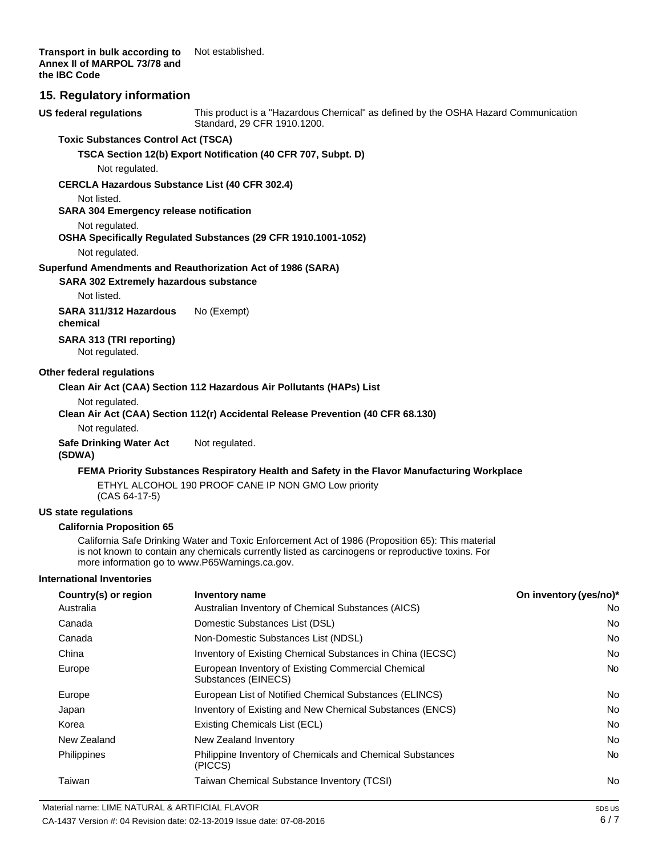**Transport in bulk according to Annex II of MARPOL 73/78 and the IBC Code** Not established.

### **15. Regulatory information**

**US federal regulations** This product is a "Hazardous Chemical" as defined by the OSHA Hazard Communication Standard, 29 CFR 1910.1200.

#### **Toxic Substances Control Act (TSCA)**

**TSCA Section 12(b) Export Notification (40 CFR 707, Subpt. D)**

Not regulated.

#### **CERCLA Hazardous Substance List (40 CFR 302.4)**

Not listed.

**SARA 304 Emergency release notification**

#### Not regulated.

## **OSHA Specifically Regulated Substances (29 CFR 1910.1001-1052)**

Not regulated.

#### **Superfund Amendments and Reauthorization Act of 1986 (SARA)**

**SARA 302 Extremely hazardous substance**

Not listed.

**SARA 311/312 Hazardous chemical** No (Exempt)

**SARA 313 (TRI reporting)**

Not regulated.

### **Other federal regulations**

#### **Clean Air Act (CAA) Section 112 Hazardous Air Pollutants (HAPs) List**

Not regulated.

### **Clean Air Act (CAA) Section 112(r) Accidental Release Prevention (40 CFR 68.130)**

Not regulated.

**Safe Drinking Water Act (SDWA)** Not regulated.

#### **FEMA Priority Substances Respiratory Health and Safety in the Flavor Manufacturing Workplace**

ETHYL ALCOHOL 190 PROOF CANE IP NON GMO Low priority (CAS 64-17-5)

#### **US state regulations**

#### **California Proposition 65**

California Safe Drinking Water and Toxic Enforcement Act of 1986 (Proposition 65): This material is not known to contain any chemicals currently listed as carcinogens or reproductive toxins. For more information go t[o www.P65Warnings.ca.gov.](http://www.p65warnings.ca.gov/)

#### **International Inventories**

| Country(s) or region | Inventory name                                                            | On inventory (yes/no)* |
|----------------------|---------------------------------------------------------------------------|------------------------|
| Australia            | Australian Inventory of Chemical Substances (AICS)                        | No                     |
| Canada               | Domestic Substances List (DSL)                                            | No                     |
| Canada               | Non-Domestic Substances List (NDSL)                                       | No                     |
| China                | Inventory of Existing Chemical Substances in China (IECSC)                | No                     |
| Europe               | European Inventory of Existing Commercial Chemical<br>Substances (EINECS) | No.                    |
| Europe               | European List of Notified Chemical Substances (ELINCS)                    | No                     |
| Japan                | Inventory of Existing and New Chemical Substances (ENCS)                  | No                     |
| Korea                | Existing Chemicals List (ECL)                                             | No                     |
| New Zealand          | New Zealand Inventory                                                     | <b>No</b>              |
| <b>Philippines</b>   | Philippine Inventory of Chemicals and Chemical Substances<br>(PICCS)      | No.                    |
| Taiwan               | Taiwan Chemical Substance Inventory (TCSI)                                | No                     |